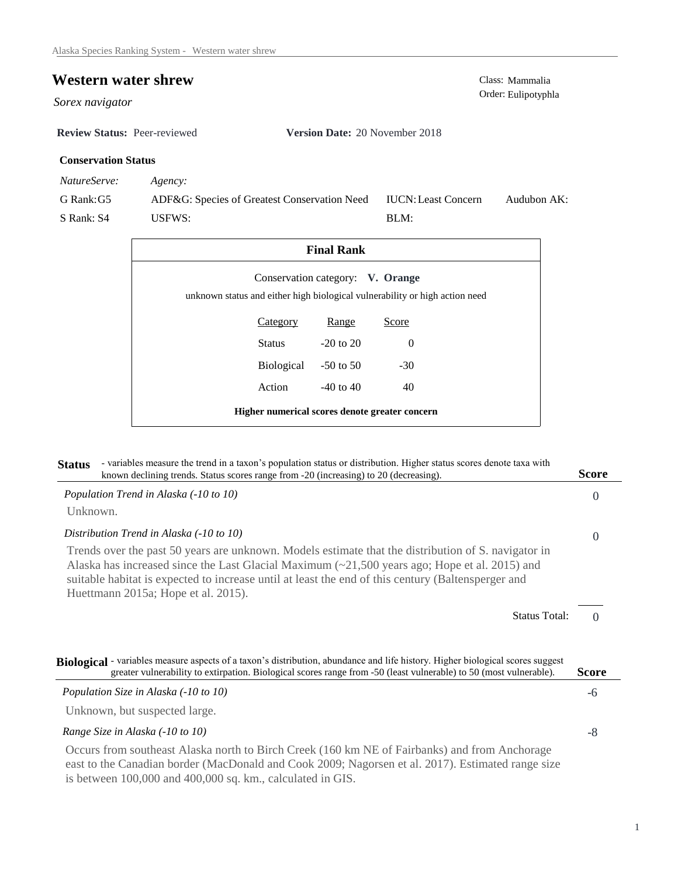## **Western water shrew** Class: Mammalia

*Sorex navigator* 

**Review Status:** Peer-reviewed **Version Date:** 20 November 2018

## **Conservation Status**

*NatureServe: Agency:*

G Rank:G5 S Rank: S4 ADF&G: Species of Greatest Conservation Need USFWS: Audubon AK: BLM: IUCN:Least Concern

| <b>Final Rank</b>                              |                                  |               |                                                                             |  |  |  |
|------------------------------------------------|----------------------------------|---------------|-----------------------------------------------------------------------------|--|--|--|
|                                                | Conservation category: V. Orange |               | unknown status and either high biological vulnerability or high action need |  |  |  |
|                                                | <b>Category</b>                  | Range         | Score                                                                       |  |  |  |
|                                                | Status                           | $-20$ to $20$ | $\Omega$                                                                    |  |  |  |
|                                                | Biological                       | $-50$ to 50   | $-30$                                                                       |  |  |  |
|                                                | Action                           | $-40$ to $40$ | 40                                                                          |  |  |  |
| Higher numerical scores denote greater concern |                                  |               |                                                                             |  |  |  |

| - variables measure the trend in a taxon's population status or distribution. Higher status scores denote taxa with<br><b>Status</b><br>known declining trends. Status scores range from -20 (increasing) to 20 (decreasing).                                                                                                                                          | Score                            |
|------------------------------------------------------------------------------------------------------------------------------------------------------------------------------------------------------------------------------------------------------------------------------------------------------------------------------------------------------------------------|----------------------------------|
| Population Trend in Alaska (-10 to 10)                                                                                                                                                                                                                                                                                                                                 | $\Omega$                         |
| Unknown.                                                                                                                                                                                                                                                                                                                                                               |                                  |
| Distribution Trend in Alaska (-10 to 10)                                                                                                                                                                                                                                                                                                                               | $\theta$                         |
| Trends over the past 50 years are unknown. Models estimate that the distribution of S. navigator in<br>Alaska has increased since the Last Glacial Maximum $\left(\frac{21}{500}\right)$ years ago; Hope et al. 2015) and<br>suitable habitat is expected to increase until at least the end of this century (Baltensperger and<br>Huettmann 2015a; Hope et al. 2015). |                                  |
|                                                                                                                                                                                                                                                                                                                                                                        | <b>Status Total:</b><br>$\Omega$ |
| Biological - variables measure aspects of a taxon's distribution, abundance and life history. Higher biological scores suggest<br>greater vulnerability to extirpation. Biological scores range from -50 (least vulnerable) to 50 (most vulnerable).                                                                                                                   | <b>Score</b>                     |
| Population Size in Alaska (-10 to 10)                                                                                                                                                                                                                                                                                                                                  | -6                               |
| Unknown, but suspected large.                                                                                                                                                                                                                                                                                                                                          |                                  |
| Range Size in Alaska (-10 to 10)                                                                                                                                                                                                                                                                                                                                       | $-8$                             |
| Occurs from southeast Alaska north to Birch Creek (160 km NE of Fairbanks) and from Anchorage<br>east to the Canadian border (MacDonald and Cook 2009; Nagorsen et al. 2017). Estimated range size<br>is between 100,000 and 400,000 sq. km., calculated in GIS.                                                                                                       |                                  |

Order: Eulipotyphla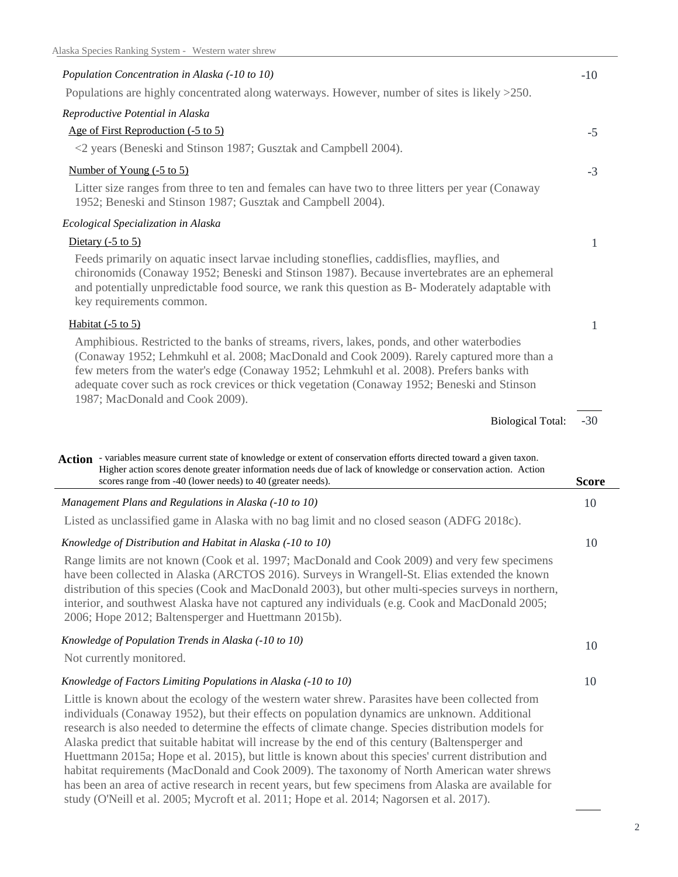| Population Concentration in Alaska (-10 to 10)                                                                                                                                                                                                                                                                                                                                                                                                                    | $-10$        |
|-------------------------------------------------------------------------------------------------------------------------------------------------------------------------------------------------------------------------------------------------------------------------------------------------------------------------------------------------------------------------------------------------------------------------------------------------------------------|--------------|
| Populations are highly concentrated along waterways. However, number of sites is likely >250.                                                                                                                                                                                                                                                                                                                                                                     |              |
| Reproductive Potential in Alaska                                                                                                                                                                                                                                                                                                                                                                                                                                  |              |
| Age of First Reproduction (-5 to 5)                                                                                                                                                                                                                                                                                                                                                                                                                               | $-5$         |
| <2 years (Beneski and Stinson 1987; Gusztak and Campbell 2004).                                                                                                                                                                                                                                                                                                                                                                                                   |              |
| Number of Young $(-5 \text{ to } 5)$                                                                                                                                                                                                                                                                                                                                                                                                                              | $-3$         |
| Litter size ranges from three to ten and females can have two to three litters per year (Conaway<br>1952; Beneski and Stinson 1987; Gusztak and Campbell 2004).                                                                                                                                                                                                                                                                                                   |              |
| Ecological Specialization in Alaska                                                                                                                                                                                                                                                                                                                                                                                                                               |              |
| Dietary $(-5 \text{ to } 5)$                                                                                                                                                                                                                                                                                                                                                                                                                                      | 1            |
| Feeds primarily on aquatic insect larvae including stoneflies, caddisflies, mayflies, and<br>chironomids (Conaway 1952; Beneski and Stinson 1987). Because invertebrates are an ephemeral<br>and potentially unpredictable food source, we rank this question as B- Moderately adaptable with<br>key requirements common.                                                                                                                                         |              |
| Habitat $(-5 \text{ to } 5)$                                                                                                                                                                                                                                                                                                                                                                                                                                      | 1            |
| Amphibious. Restricted to the banks of streams, rivers, lakes, ponds, and other waterbodies<br>(Conaway 1952; Lehmkuhl et al. 2008; MacDonald and Cook 2009). Rarely captured more than a<br>few meters from the water's edge (Conaway 1952; Lehmkuhl et al. 2008). Prefers banks with<br>adequate cover such as rock crevices or thick vegetation (Conaway 1952; Beneski and Stinson<br>1987; MacDonald and Cook 2009).                                          |              |
|                                                                                                                                                                                                                                                                                                                                                                                                                                                                   |              |
| <b>Biological Total:</b>                                                                                                                                                                                                                                                                                                                                                                                                                                          | $-30$        |
|                                                                                                                                                                                                                                                                                                                                                                                                                                                                   |              |
| Action - variables measure current state of knowledge or extent of conservation efforts directed toward a given taxon.<br>Higher action scores denote greater information needs due of lack of knowledge or conservation action. Action<br>scores range from -40 (lower needs) to 40 (greater needs).                                                                                                                                                             | <b>Score</b> |
| Management Plans and Regulations in Alaska (-10 to 10)                                                                                                                                                                                                                                                                                                                                                                                                            | 10           |
| Listed as unclassified game in Alaska with no bag limit and no closed season (ADFG 2018c).                                                                                                                                                                                                                                                                                                                                                                        |              |
| Knowledge of Distribution and Habitat in Alaska (-10 to 10)                                                                                                                                                                                                                                                                                                                                                                                                       | 10           |
| Range limits are not known (Cook et al. 1997; MacDonald and Cook 2009) and very few specimens<br>have been collected in Alaska (ARCTOS 2016). Surveys in Wrangell-St. Elias extended the known<br>distribution of this species (Cook and MacDonald 2003), but other multi-species surveys in northern,<br>interior, and southwest Alaska have not captured any individuals (e.g. Cook and MacDonald 2005;<br>2006; Hope 2012; Baltensperger and Huettmann 2015b). |              |
| Knowledge of Population Trends in Alaska (-10 to 10)                                                                                                                                                                                                                                                                                                                                                                                                              | 10           |
| Not currently monitored.                                                                                                                                                                                                                                                                                                                                                                                                                                          |              |
| Knowledge of Factors Limiting Populations in Alaska (-10 to 10)                                                                                                                                                                                                                                                                                                                                                                                                   | 10           |

study (O'Neill et al. 2005; Mycroft et al. 2011; Hope et al. 2014; Nagorsen et al. 2017).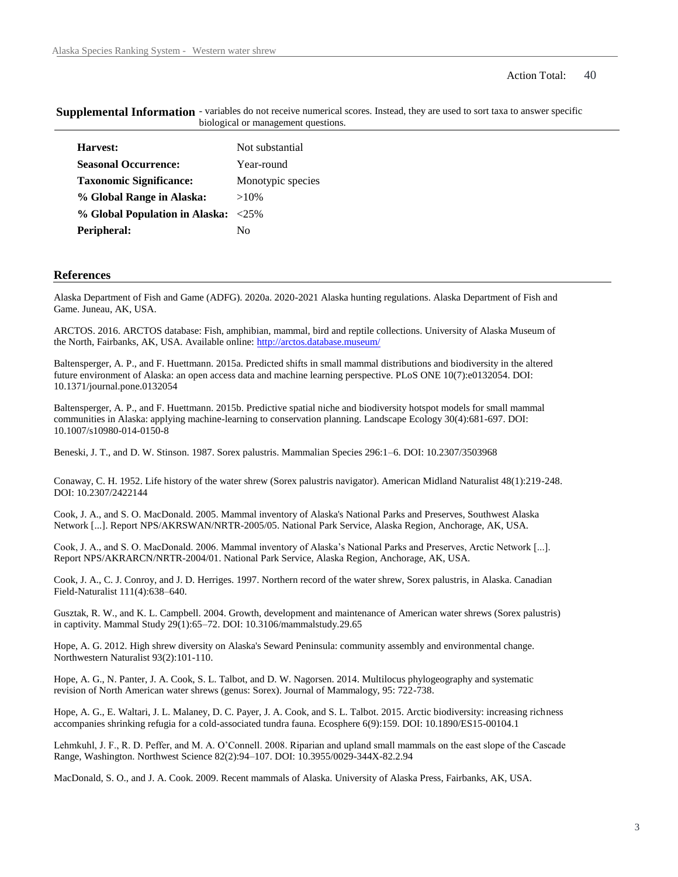## Action Total: 40

| Not substantial   |
|-------------------|
| Year-round        |
| Monotypic species |
| $>10\%$           |
| $<25\%$           |
| N٥                |
|                   |

**Supplemental Information** - variables do not receive numerical scores. Instead, they are used to sort taxa to answer specific biological or management questions.

## **References**

Alaska Department of Fish and Game (ADFG). 2020a. 2020-2021 Alaska hunting regulations. Alaska Department of Fish and Game. Juneau, AK, USA.

ARCTOS. 2016. ARCTOS database: Fish, amphibian, mammal, bird and reptile collections. University of Alaska Museum of the North, Fairbanks, AK, USA. Available online: http://arctos.database.museum/

Baltensperger, A. P., and F. Huettmann. 2015a. Predicted shifts in small mammal distributions and biodiversity in the altered future environment of Alaska: an open access data and machine learning perspective. PLoS ONE 10(7):e0132054. DOI: 10.1371/journal.pone.0132054

Baltensperger, A. P., and F. Huettmann. 2015b. Predictive spatial niche and biodiversity hotspot models for small mammal communities in Alaska: applying machine-learning to conservation planning. Landscape Ecology 30(4):681-697. DOI: 10.1007/s10980-014-0150-8

Beneski, J. T., and D. W. Stinson. 1987. Sorex palustris. Mammalian Species 296:1–6. DOI: 10.2307/3503968

Conaway, C. H. 1952. Life history of the water shrew (Sorex palustris navigator). American Midland Naturalist 48(1):219-248. DOI: 10.2307/2422144

Cook, J. A., and S. O. MacDonald. 2005. Mammal inventory of Alaska's National Parks and Preserves, Southwest Alaska Network [...]. Report NPS/AKRSWAN/NRTR-2005/05. National Park Service, Alaska Region, Anchorage, AK, USA.

Cook, J. A., and S. O. MacDonald. 2006. Mammal inventory of Alaska's National Parks and Preserves, Arctic Network [...]. Report NPS/AKRARCN/NRTR-2004/01. National Park Service, Alaska Region, Anchorage, AK, USA.

Cook, J. A., C. J. Conroy, and J. D. Herriges. 1997. Northern record of the water shrew, Sorex palustris, in Alaska. Canadian Field-Naturalist 111(4):638–640.

Gusztak, R. W., and K. L. Campbell. 2004. Growth, development and maintenance of American water shrews (Sorex palustris) in captivity. Mammal Study 29(1):65–72. DOI: 10.3106/mammalstudy.29.65

Hope, A. G. 2012. High shrew diversity on Alaska's Seward Peninsula: community assembly and environmental change. Northwestern Naturalist 93(2):101-110.

Hope, A. G., N. Panter, J. A. Cook, S. L. Talbot, and D. W. Nagorsen. 2014. Multilocus phylogeography and systematic revision of North American water shrews (genus: Sorex). Journal of Mammalogy, 95: 722-738.

Hope, A. G., E. Waltari, J. L. Malaney, D. C. Payer, J. A. Cook, and S. L. Talbot. 2015. Arctic biodiversity: increasing richness accompanies shrinking refugia for a cold-associated tundra fauna. Ecosphere 6(9):159. DOI: 10.1890/ES15-00104.1

Lehmkuhl, J. F., R. D. Peffer, and M. A. O'Connell. 2008. Riparian and upland small mammals on the east slope of the Cascade Range, Washington. Northwest Science 82(2):94–107. DOI: 10.3955/0029-344X-82.2.94

MacDonald, S. O., and J. A. Cook. 2009. Recent mammals of Alaska. University of Alaska Press, Fairbanks, AK, USA.